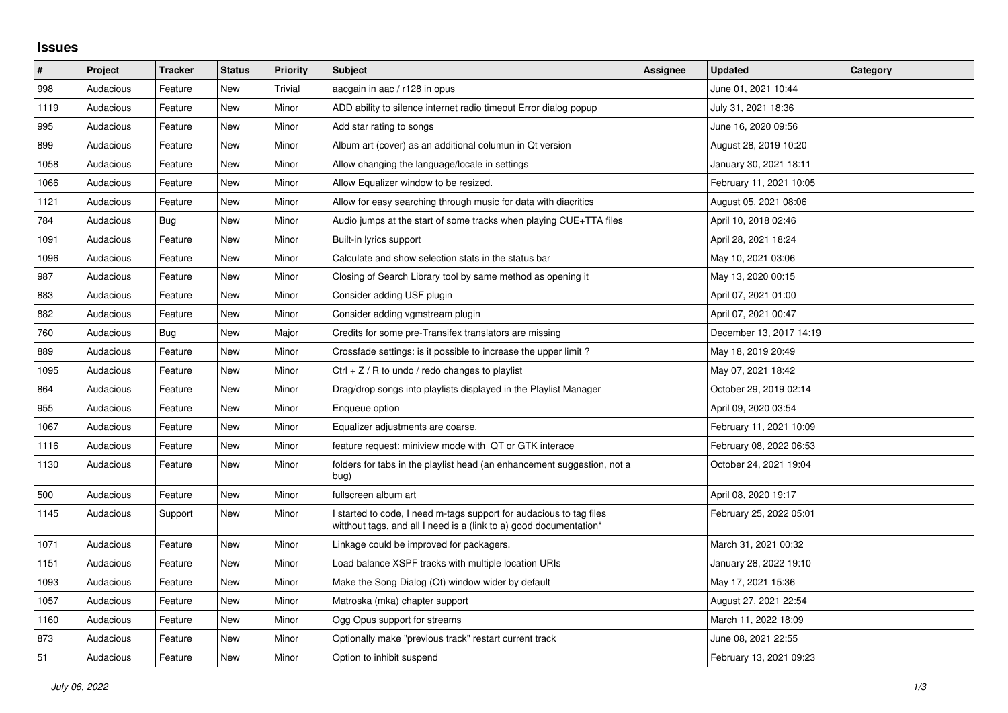## **Issues**

| #    | Project   | Tracker | <b>Status</b> | <b>Priority</b> | <b>Subject</b>                                                                                                                            | Assignee | <b>Updated</b>          | Category |
|------|-----------|---------|---------------|-----------------|-------------------------------------------------------------------------------------------------------------------------------------------|----------|-------------------------|----------|
| 998  | Audacious | Feature | <b>New</b>    | Trivial         | aacgain in aac / r128 in opus                                                                                                             |          | June 01, 2021 10:44     |          |
| 1119 | Audacious | Feature | <b>New</b>    | Minor           | ADD ability to silence internet radio timeout Error dialog popup                                                                          |          | July 31, 2021 18:36     |          |
| 995  | Audacious | Feature | New           | Minor           | Add star rating to songs                                                                                                                  |          | June 16, 2020 09:56     |          |
| 899  | Audacious | Feature | <b>New</b>    | Minor           | Album art (cover) as an additional columun in Qt version                                                                                  |          | August 28, 2019 10:20   |          |
| 1058 | Audacious | Feature | <b>New</b>    | Minor           | Allow changing the language/locale in settings                                                                                            |          | January 30, 2021 18:11  |          |
| 1066 | Audacious | Feature | New           | Minor           | Allow Equalizer window to be resized.                                                                                                     |          | February 11, 2021 10:05 |          |
| 1121 | Audacious | Feature | New           | Minor           | Allow for easy searching through music for data with diacritics                                                                           |          | August 05, 2021 08:06   |          |
| 784  | Audacious | Bug     | <b>New</b>    | Minor           | Audio jumps at the start of some tracks when playing CUE+TTA files                                                                        |          | April 10, 2018 02:46    |          |
| 1091 | Audacious | Feature | New           | Minor           | Built-in lyrics support                                                                                                                   |          | April 28, 2021 18:24    |          |
| 1096 | Audacious | Feature | <b>New</b>    | Minor           | Calculate and show selection stats in the status bar                                                                                      |          | May 10, 2021 03:06      |          |
| 987  | Audacious | Feature | <b>New</b>    | Minor           | Closing of Search Library tool by same method as opening it                                                                               |          | May 13, 2020 00:15      |          |
| 883  | Audacious | Feature | New           | Minor           | Consider adding USF plugin                                                                                                                |          | April 07, 2021 01:00    |          |
| 882  | Audacious | Feature | New           | Minor           | Consider adding vgmstream plugin                                                                                                          |          | April 07, 2021 00:47    |          |
| 760  | Audacious | Bug     | <b>New</b>    | Major           | Credits for some pre-Transifex translators are missing                                                                                    |          | December 13, 2017 14:19 |          |
| 889  | Audacious | Feature | <b>New</b>    | Minor           | Crossfade settings: is it possible to increase the upper limit?                                                                           |          | May 18, 2019 20:49      |          |
| 1095 | Audacious | Feature | New           | Minor           | Ctrl $+$ Z / R to undo / redo changes to playlist                                                                                         |          | May 07, 2021 18:42      |          |
| 864  | Audacious | Feature | <b>New</b>    | Minor           | Drag/drop songs into playlists displayed in the Playlist Manager                                                                          |          | October 29, 2019 02:14  |          |
| 955  | Audacious | Feature | <b>New</b>    | Minor           | Enqueue option                                                                                                                            |          | April 09, 2020 03:54    |          |
| 1067 | Audacious | Feature | New           | Minor           | Equalizer adjustments are coarse.                                                                                                         |          | February 11, 2021 10:09 |          |
| 1116 | Audacious | Feature | <b>New</b>    | Minor           | feature request: miniview mode with QT or GTK interace                                                                                    |          | February 08, 2022 06:53 |          |
| 1130 | Audacious | Feature | New           | Minor           | folders for tabs in the playlist head (an enhancement suggestion, not a<br>bug)                                                           |          | October 24, 2021 19:04  |          |
| 500  | Audacious | Feature | <b>New</b>    | Minor           | fullscreen album art                                                                                                                      |          | April 08, 2020 19:17    |          |
| 1145 | Audacious | Support | New           | Minor           | I started to code, I need m-tags support for audacious to tag files<br>witthout tags, and all I need is a (link to a) good documentation* |          | February 25, 2022 05:01 |          |
| 1071 | Audacious | Feature | New           | Minor           | Linkage could be improved for packagers.                                                                                                  |          | March 31, 2021 00:32    |          |
| 1151 | Audacious | Feature | <b>New</b>    | Minor           | Load balance XSPF tracks with multiple location URIs                                                                                      |          | January 28, 2022 19:10  |          |
| 1093 | Audacious | Feature | <b>New</b>    | Minor           | Make the Song Dialog (Qt) window wider by default                                                                                         |          | May 17, 2021 15:36      |          |
| 1057 | Audacious | Feature | New           | Minor           | Matroska (mka) chapter support                                                                                                            |          | August 27, 2021 22:54   |          |
| 1160 | Audacious | Feature | New           | Minor           | Ogg Opus support for streams                                                                                                              |          | March 11, 2022 18:09    |          |
| 873  | Audacious | Feature | <b>New</b>    | Minor           | Optionally make "previous track" restart current track                                                                                    |          | June 08, 2021 22:55     |          |
| 51   | Audacious | Feature | <b>New</b>    | Minor           | Option to inhibit suspend                                                                                                                 |          | February 13, 2021 09:23 |          |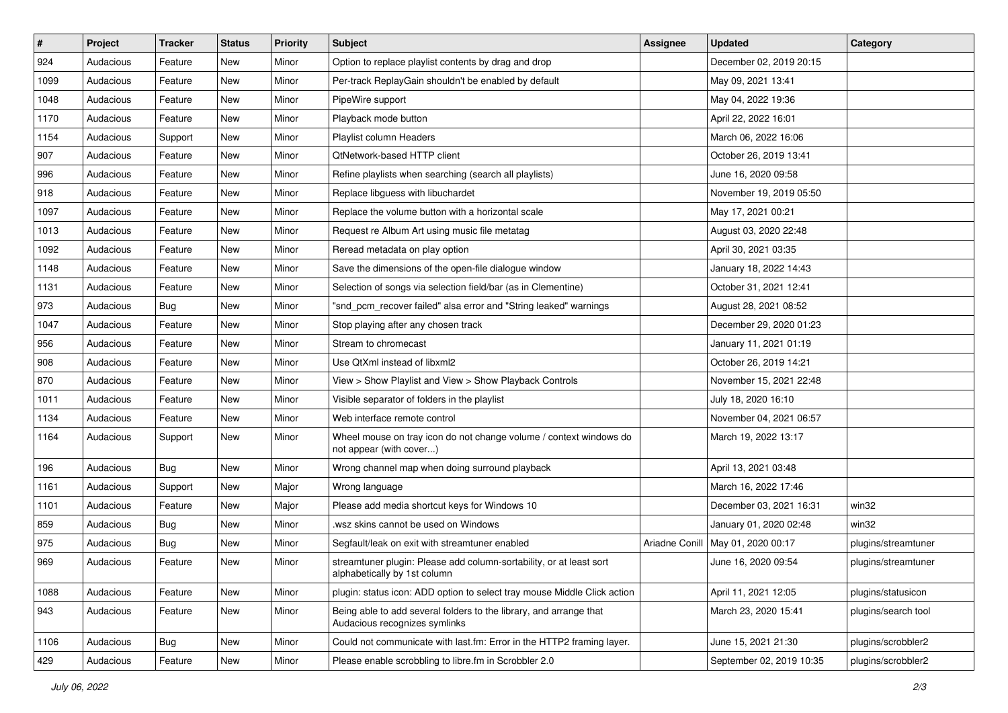| $\vert$ # | Project   | <b>Tracker</b> | <b>Status</b> | <b>Priority</b> | <b>Subject</b>                                                                                      | <b>Assignee</b> | <b>Updated</b>           | Category            |
|-----------|-----------|----------------|---------------|-----------------|-----------------------------------------------------------------------------------------------------|-----------------|--------------------------|---------------------|
| 924       | Audacious | Feature        | New           | Minor           | Option to replace playlist contents by drag and drop                                                |                 | December 02, 2019 20:15  |                     |
| 1099      | Audacious | Feature        | New           | Minor           | Per-track ReplayGain shouldn't be enabled by default                                                |                 | May 09, 2021 13:41       |                     |
| 1048      | Audacious | Feature        | New           | Minor           | PipeWire support                                                                                    |                 | May 04, 2022 19:36       |                     |
| 1170      | Audacious | Feature        | New           | Minor           | Playback mode button                                                                                |                 | April 22, 2022 16:01     |                     |
| 1154      | Audacious | Support        | New           | Minor           | Playlist column Headers                                                                             |                 | March 06, 2022 16:06     |                     |
| 907       | Audacious | Feature        | New           | Minor           | QtNetwork-based HTTP client                                                                         |                 | October 26, 2019 13:41   |                     |
| 996       | Audacious | Feature        | New           | Minor           | Refine playlists when searching (search all playlists)                                              |                 | June 16, 2020 09:58      |                     |
| 918       | Audacious | Feature        | New           | Minor           | Replace libguess with libuchardet                                                                   |                 | November 19, 2019 05:50  |                     |
| 1097      | Audacious | Feature        | New           | Minor           | Replace the volume button with a horizontal scale                                                   |                 | May 17, 2021 00:21       |                     |
| 1013      | Audacious | Feature        | New           | Minor           | Request re Album Art using music file metatag                                                       |                 | August 03, 2020 22:48    |                     |
| 1092      | Audacious | Feature        | New           | Minor           | Reread metadata on play option                                                                      |                 | April 30, 2021 03:35     |                     |
| 1148      | Audacious | Feature        | New           | Minor           | Save the dimensions of the open-file dialogue window                                                |                 | January 18, 2022 14:43   |                     |
| 1131      | Audacious | Feature        | New           | Minor           | Selection of songs via selection field/bar (as in Clementine)                                       |                 | October 31, 2021 12:41   |                     |
| 973       | Audacious | <b>Bug</b>     | New           | Minor           | "snd_pcm_recover failed" alsa error and "String leaked" warnings                                    |                 | August 28, 2021 08:52    |                     |
| 1047      | Audacious | Feature        | New           | Minor           | Stop playing after any chosen track                                                                 |                 | December 29, 2020 01:23  |                     |
| 956       | Audacious | Feature        | New           | Minor           | Stream to chromecast                                                                                |                 | January 11, 2021 01:19   |                     |
| 908       | Audacious | Feature        | New           | Minor           | Use QtXml instead of libxml2                                                                        |                 | October 26, 2019 14:21   |                     |
| 870       | Audacious | Feature        | New           | Minor           | View > Show Playlist and View > Show Playback Controls                                              |                 | November 15, 2021 22:48  |                     |
| 1011      | Audacious | Feature        | New           | Minor           | Visible separator of folders in the playlist                                                        |                 | July 18, 2020 16:10      |                     |
| 1134      | Audacious | Feature        | New           | Minor           | Web interface remote control                                                                        |                 | November 04, 2021 06:57  |                     |
| 1164      | Audacious | Support        | New           | Minor           | Wheel mouse on tray icon do not change volume / context windows do<br>not appear (with cover)       |                 | March 19, 2022 13:17     |                     |
| 196       | Audacious | <b>Bug</b>     | New           | Minor           | Wrong channel map when doing surround playback                                                      |                 | April 13, 2021 03:48     |                     |
| 1161      | Audacious | Support        | New           | Major           | Wrong language                                                                                      |                 | March 16, 2022 17:46     |                     |
| 1101      | Audacious | Feature        | New           | Major           | Please add media shortcut keys for Windows 10                                                       |                 | December 03, 2021 16:31  | win32               |
| 859       | Audacious | <b>Bug</b>     | New           | Minor           | wsz skins cannot be used on Windows                                                                 |                 | January 01, 2020 02:48   | win32               |
| 975       | Audacious | <b>Bug</b>     | New           | Minor           | Segfault/leak on exit with streamtuner enabled                                                      | Ariadne Conill  | May 01, 2020 00:17       | plugins/streamtuner |
| 969       | Audacious | Feature        | New           | Minor           | streamtuner plugin: Please add column-sortability, or at least sort<br>alphabetically by 1st column |                 | June 16, 2020 09:54      | plugins/streamtuner |
| 1088      | Audacious | Feature        | New           | Minor           | plugin: status icon: ADD option to select tray mouse Middle Click action                            |                 | April 11, 2021 12:05     | plugins/statusicon  |
| 943       | Audacious | Feature        | New           | Minor           | Being able to add several folders to the library, and arrange that<br>Audacious recognizes symlinks |                 | March 23, 2020 15:41     | plugins/search tool |
| 1106      | Audacious | <b>Bug</b>     | New           | Minor           | Could not communicate with last.fm: Error in the HTTP2 framing layer.                               |                 | June 15, 2021 21:30      | plugins/scrobbler2  |
| 429       | Audacious | Feature        | New           | Minor           | Please enable scrobbling to libre.fm in Scrobbler 2.0                                               |                 | September 02, 2019 10:35 | plugins/scrobbler2  |